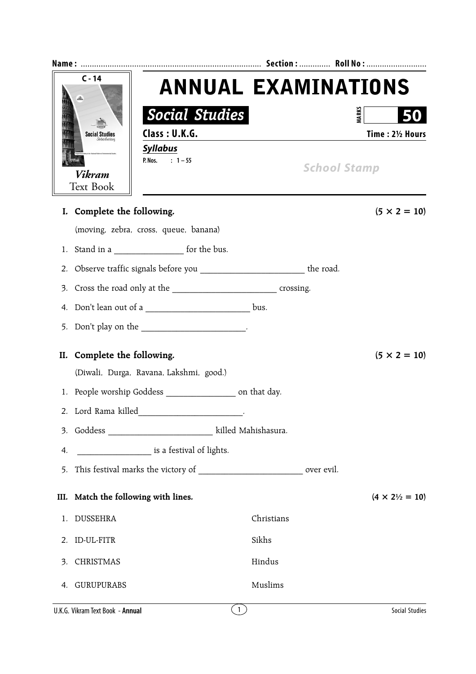| $C - 14$<br><b>Social Studies</b> |                             |                                                                               |            |                            |                                |  |
|-----------------------------------|-----------------------------|-------------------------------------------------------------------------------|------------|----------------------------|--------------------------------|--|
|                                   |                             |                                                                               |            | <b>ANNUAL EXAMINATIONS</b> |                                |  |
|                                   |                             | <b>Social Studies</b>                                                         |            |                            | MARKS                          |  |
|                                   |                             | Class: U.K.G.                                                                 |            |                            | Time: 21/2 Hours               |  |
|                                   | Vikram<br><b>Text Book</b>  | <b>Syllabus</b><br>P. Nos. : $1 - 55$                                         |            | <b>School Stamp</b>        |                                |  |
|                                   | I. Complete the following.  |                                                                               |            |                            | $(5 \times 2 = 10)$            |  |
|                                   |                             | (moving, zebra, cross, queue, banana)                                         |            |                            |                                |  |
|                                   |                             | 1. Stand in a ________________________ for the bus.                           |            |                            |                                |  |
| 2.                                |                             | Observe traffic signals before you _______________________________ the road.  |            |                            |                                |  |
|                                   |                             |                                                                               |            |                            |                                |  |
|                                   |                             | 4. Don't lean out of a ____________________________ bus.                      |            |                            |                                |  |
|                                   |                             |                                                                               |            |                            |                                |  |
|                                   | II. Complete the following. | (Diwali, Durga, Ravana, Lakshmi, good.)                                       |            |                            | $(5 \times 2 = 10)$            |  |
|                                   |                             | 1. People worship Goddess ____________________ on that day.                   |            |                            |                                |  |
|                                   | 2. Lord Rama killed         |                                                                               |            |                            |                                |  |
|                                   |                             | 3. Goddess _____________________________ killed Mahishasura.                  |            |                            |                                |  |
| 4.                                |                             | is a festival of lights.                                                      |            |                            |                                |  |
| 5.                                |                             | This festival marks the victory of _______________________________ over evil. |            |                            |                                |  |
|                                   |                             | III. Match the following with lines.                                          |            |                            | $(4 \times 2\frac{1}{2} = 10)$ |  |
| 1.                                | <b>DUSSEHRA</b>             |                                                                               | Christians |                            |                                |  |
|                                   | 2. ID-UL-FITR               |                                                                               | Sikhs      |                            |                                |  |
| 3.                                | CHRISTMAS                   |                                                                               | Hindus     |                            |                                |  |
| 4.                                | GURUPURABS                  |                                                                               | Muslims    |                            |                                |  |